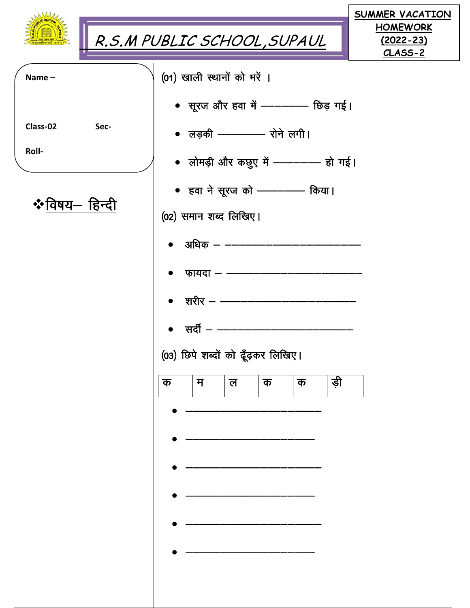|                |                             |   |                             |   |                                    |                                     |     | <b>SUMMER VACATION</b>           |
|----------------|-----------------------------|---|-----------------------------|---|------------------------------------|-------------------------------------|-----|----------------------------------|
|                | R.S.M PUBLIC SCHOOL, SUPAUL |   |                             |   |                                    |                                     |     | <b>HOMEWORK</b><br>$(2022 - 23)$ |
|                |                             |   |                             |   |                                    |                                     |     | $CLASS-2$                        |
| Name $-$       |                             |   | (01) खाली स्थानों को भरें । |   |                                    |                                     |     |                                  |
|                |                             |   |                             |   |                                    | • सूरज और हवा में - ----- छिड़ गई।  |     |                                  |
| Class-02       | Sec-                        |   |                             |   | • लड़की ---------- रोने लगी।       |                                     |     |                                  |
| Roll-          |                             |   |                             |   |                                    | • लोमड़ी और कछुए में - - - - हो गई। |     |                                  |
|                |                             |   |                             |   |                                    | • हवा ने सूरज को ————— किया।        |     |                                  |
| ❖ विषय- हिन्दी |                             |   | (02) समान शब्द लिखिए।       |   |                                    |                                     |     |                                  |
|                |                             |   |                             |   |                                    | • अधिक — ————————————               |     |                                  |
|                |                             |   |                             |   | • फायदा – ––––––––––––––           |                                     |     |                                  |
|                |                             |   |                             |   | $\bullet$ शरीर – ––––––––––––––––  |                                     |     |                                  |
|                |                             |   | $\bullet$ सर्दी – ––––––    |   |                                    |                                     |     |                                  |
|                |                             |   |                             |   | (03) छिपे शब्दों को ढूँढ़कर लिखिए। |                                     |     |                                  |
|                |                             | क | म                           | ल | क                                  | क                                   | ड़ी |                                  |
|                |                             |   |                             |   |                                    |                                     |     |                                  |
|                |                             |   |                             |   |                                    |                                     |     |                                  |
|                |                             |   |                             |   |                                    |                                     |     |                                  |
|                |                             |   |                             |   |                                    |                                     |     |                                  |
|                |                             |   |                             |   |                                    |                                     |     |                                  |
|                |                             |   |                             |   |                                    |                                     |     |                                  |
|                |                             |   |                             |   |                                    |                                     |     |                                  |
|                |                             |   |                             |   |                                    |                                     |     |                                  |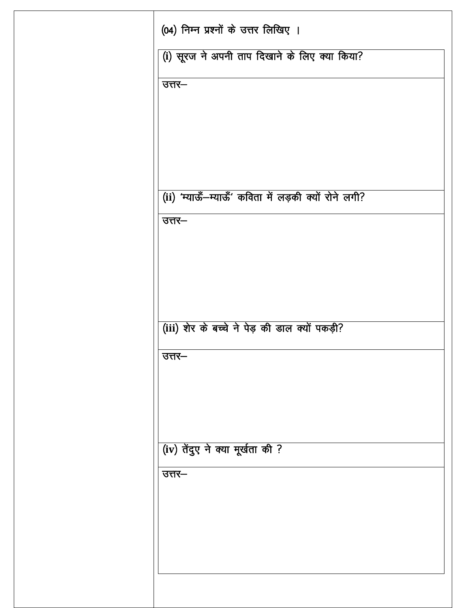| (04) निम्न प्रश्नों के उत्तर लिखिए ।                 |
|------------------------------------------------------|
| (i) सूरज ने अपनी ताप दिखाने के लिए क्या किया?        |
| उत्तर—                                               |
|                                                      |
|                                                      |
|                                                      |
| (ii) 'म्याऊँ-म्याऊँ' कविता में लड़की क्यों रोने लगी? |
| उत्तर—                                               |
|                                                      |
|                                                      |
| (iii) शेर के बच्चे ने पेड़ की डाल क्यों पकड़ी?       |
| उत्तर—                                               |
|                                                      |
|                                                      |
| (iv) तेंदुए ने क्या मूर्खता की ?                     |
| उत्तर—                                               |
|                                                      |
|                                                      |
|                                                      |
|                                                      |
|                                                      |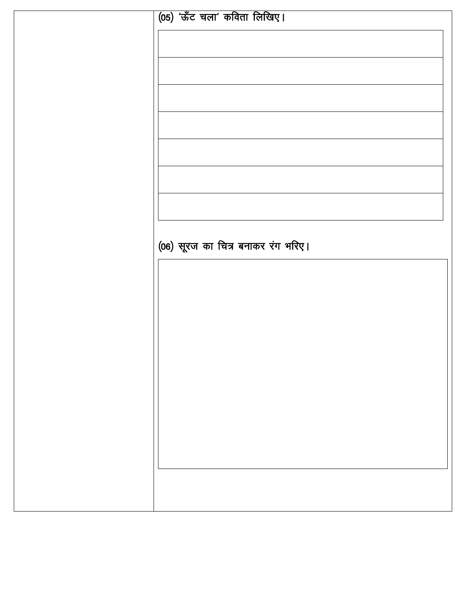| (05) 'ऊँट चला' कविता लिखिए।        |
|------------------------------------|
|                                    |
|                                    |
|                                    |
|                                    |
|                                    |
|                                    |
|                                    |
|                                    |
|                                    |
|                                    |
|                                    |
|                                    |
| (06) सूरज का चित्र बनाकर रंग भरिए। |
|                                    |
|                                    |
|                                    |
|                                    |
|                                    |
|                                    |
|                                    |
|                                    |
|                                    |
|                                    |
|                                    |
|                                    |
|                                    |
|                                    |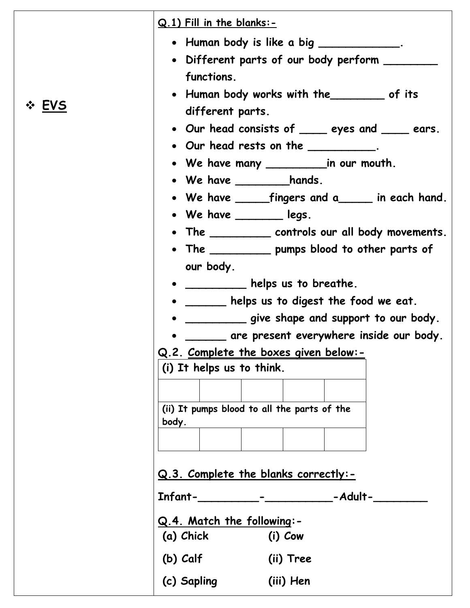|       | Q.1) Fill in the blanks:-<br>• Human body is like a big _____________. |
|-------|------------------------------------------------------------------------|
|       | • Different parts of our body perform ___                              |
|       | functions.                                                             |
|       | • Human body works with the of its                                     |
| ❖ EVS | different parts.                                                       |
|       | • Our head consists of ____ eyes and ___ ears.                         |
|       | • Our head rests on the $\_\_\_\_\_\_\_\_\_\_\_\_\_\_\_\_\_\_\_$       |
|       | • We have many ____________in our mouth.                               |
|       | • We have _________hands.                                              |
|       | • We have ______fingers and a______ in each hand.                      |
|       | • We have ___________ legs.                                            |
|       | • The __________ controls our all body movements.                      |
|       | • The ____________ pumps blood to other parts of                       |
|       | our body.                                                              |
|       | $\bullet$ _________ helps us to breathe.                               |
|       | $\bullet$ ______ helps us to digest the food we eat.                   |
|       | give shape and support to our body.                                    |
|       | • ______ are present everywhere inside our body.                       |
|       | Q.2. Complete the boxes given below:-                                  |
|       | (i) It helps us to think.                                              |
|       |                                                                        |
|       | (ii) It pumps blood to all the parts of the<br>body.                   |
|       |                                                                        |
|       |                                                                        |
|       | Q.3. Complete the blanks correctly:-                                   |
|       |                                                                        |
|       | Q.4. Match the following:-                                             |
|       | (a) Chick<br>(i) Cow                                                   |
|       | (b) Calf<br>(ii) Tree                                                  |
|       | (c) Sapling<br>(iii) Hen                                               |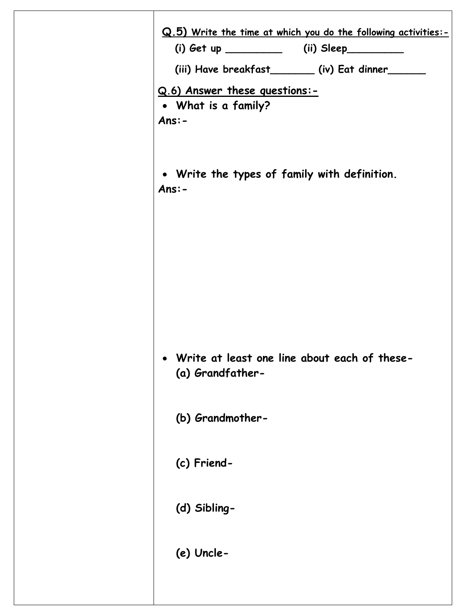| Q.5) Write the time at which you do the following activities:- |
|----------------------------------------------------------------|
|                                                                |
| (iii) Have breakfast_______(iv) Eat dinner______               |
| Q.6) Answer these questions:-                                  |
| • What is a family?<br>$Ans: -$                                |
|                                                                |
|                                                                |
| • Write the types of family with definition.<br>$Ans: -$       |
|                                                                |
|                                                                |
|                                                                |
|                                                                |
|                                                                |
|                                                                |
|                                                                |
| Write at least one line about each of these-                   |
| (a) Grandfather-                                               |
|                                                                |
| (b) Grandmother-                                               |
|                                                                |
| (c) Friend-                                                    |
|                                                                |
| (d) Sibling-                                                   |
|                                                                |
| (e) Uncle-                                                     |
|                                                                |
|                                                                |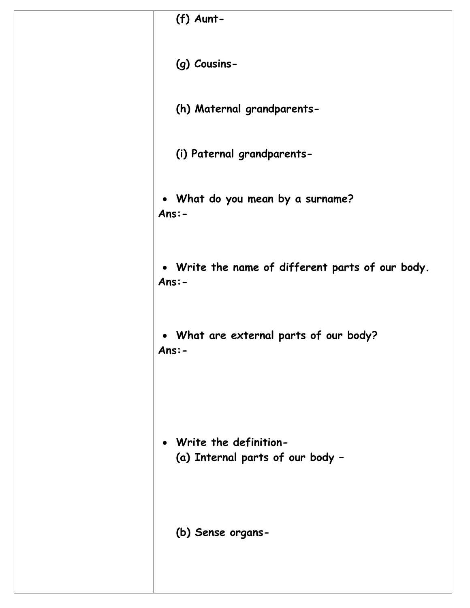| $(f)$ Aunt-                                                            |
|------------------------------------------------------------------------|
| (g) Cousins-                                                           |
| (h) Maternal grandparents-                                             |
| (i) Paternal grandparents-                                             |
| • What do you mean by a surname?<br>$Ans: -$                           |
| • Write the name of different parts of our body.<br>$Ans: -$           |
| • What are external parts of our body?<br>Ans:-                        |
| Write the definition-<br>$\bullet$<br>(a) Internal parts of our body - |
| (b) Sense organs-                                                      |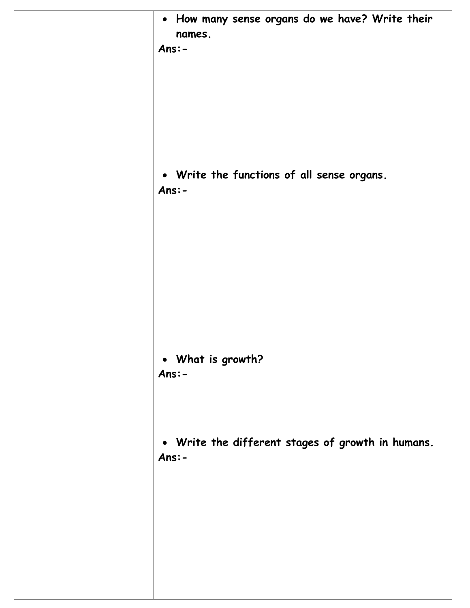| . How many sense organs do we have? Write their<br>names.<br>$Ans: -$ |
|-----------------------------------------------------------------------|
| • Write the functions of all sense organs.<br>$Ans: -$                |
| • What is growth?<br>$Ans: -$                                         |
| • Write the different stages of growth in humans.<br>$Ans: -$         |
|                                                                       |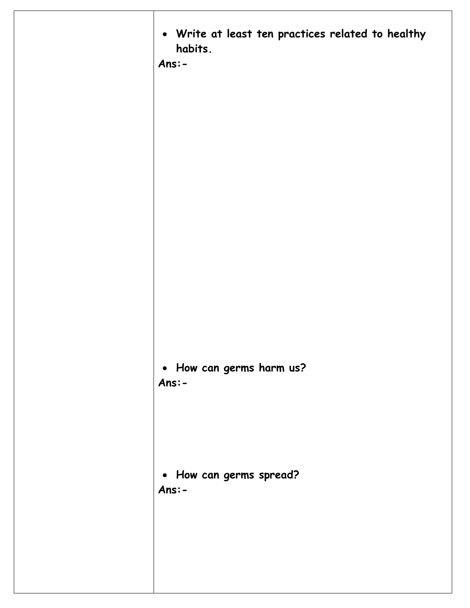| . Write at least ten practices related to healthy<br>habits.<br>$Ans: -$ |
|--------------------------------------------------------------------------|
|                                                                          |
|                                                                          |
|                                                                          |
| • How can germs harm us?<br>$Ans: -$                                     |
| • How can germs spread?<br>$Ans: -$                                      |
|                                                                          |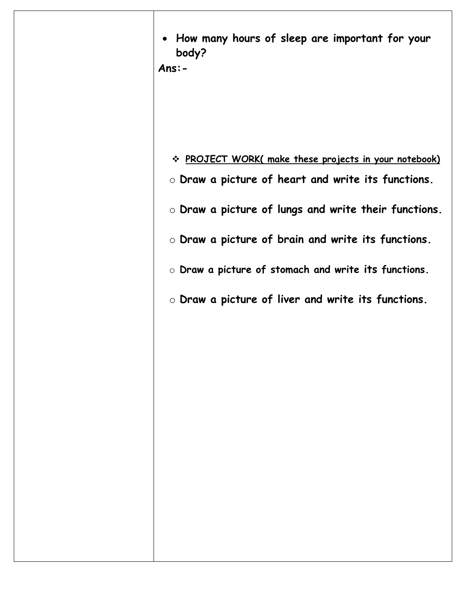| • How many hours of sleep are important for your<br>body?<br>$Ans: -$ |
|-----------------------------------------------------------------------|
|                                                                       |
| * PROJECT WORK( make these projects in your notebook)                 |
| $\circ$ Draw a picture of heart and write its functions.              |
| $\circ$ Draw a picture of lungs and write their functions.            |
| $\circ$ Draw a picture of brain and write its functions.              |
| $\circ$ Draw a picture of stomach and write its functions.            |
| $\circ$ Draw a picture of liver and write its functions.              |
|                                                                       |
|                                                                       |
|                                                                       |
|                                                                       |
|                                                                       |
|                                                                       |
|                                                                       |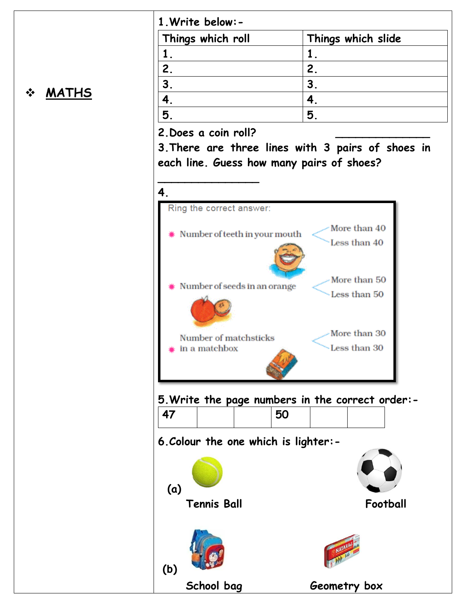|                               | 1. Write below: -                         |                                                   |
|-------------------------------|-------------------------------------------|---------------------------------------------------|
|                               | Things which roll                         | Things which slide                                |
|                               | 1.                                        | 1.                                                |
|                               | 2.                                        | 2.                                                |
|                               | 3 <sub>1</sub>                            | 3.                                                |
| <u>MATHS</u><br>$\frac{1}{2}$ | 4.                                        | 4.                                                |
|                               | 5.                                        | 5.                                                |
|                               |                                           |                                                   |
|                               | 2. Does a coin roll?                      |                                                   |
|                               | each line. Guess how many pairs of shoes? | 3. There are three lines with 3 pairs of shoes in |
|                               | 4.                                        |                                                   |
|                               | Ring the correct answer:                  |                                                   |
|                               | * Number of teeth in your mouth           | More than 40                                      |
|                               |                                           | Less than 40                                      |
|                               |                                           |                                                   |
|                               | Number of seeds in an orange              | More than 50                                      |
|                               |                                           | Less than 50                                      |
|                               | Number of matchsticks                     | More than 30                                      |
|                               | in a matchbox                             | Less than 30                                      |
|                               |                                           | 5. Write the page numbers in the correct order:-  |
|                               | 47                                        | 50                                                |
|                               | 6. Colour the one which is lighter:-      |                                                   |
|                               | (a)                                       |                                                   |
|                               | <b>Tennis Ball</b>                        | Football                                          |
|                               | (b)                                       |                                                   |
|                               | School bag                                | Geometry box                                      |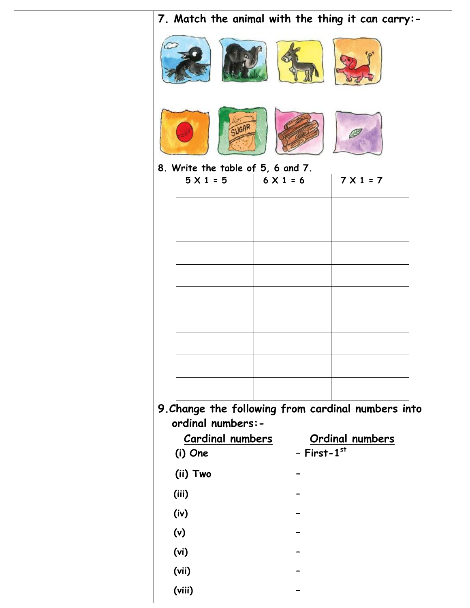| 7. Match the animal with the thing it can carry:-  |                  |                        |
|----------------------------------------------------|------------------|------------------------|
|                                                    |                  |                        |
| <b>JUGAR</b>                                       |                  |                        |
| 8. Write the table of 5, 6 and 7.                  |                  |                        |
| $5 \times 1 = 5$                                   | $6 \times 1 = 6$ | $7 \times 1 = 7$       |
|                                                    |                  |                        |
|                                                    |                  |                        |
|                                                    |                  |                        |
|                                                    |                  |                        |
|                                                    |                  |                        |
|                                                    |                  |                        |
|                                                    |                  |                        |
|                                                    |                  |                        |
|                                                    |                  |                        |
|                                                    |                  |                        |
|                                                    |                  |                        |
|                                                    |                  |                        |
|                                                    |                  |                        |
|                                                    |                  |                        |
| 9. Change the following from cardinal numbers into |                  |                        |
| ordinal numbers:-                                  |                  |                        |
| <b>Cardinal numbers</b>                            |                  | <b>Ordinal numbers</b> |
| (i) One                                            | $-$ First- $1st$ |                        |
| (ii) Two                                           |                  |                        |
| (iii)                                              |                  |                        |
| (iv)                                               |                  |                        |
| (v)                                                |                  |                        |
| (vi)                                               |                  |                        |
| (vii)                                              |                  |                        |
| (viii)                                             |                  |                        |
|                                                    |                  |                        |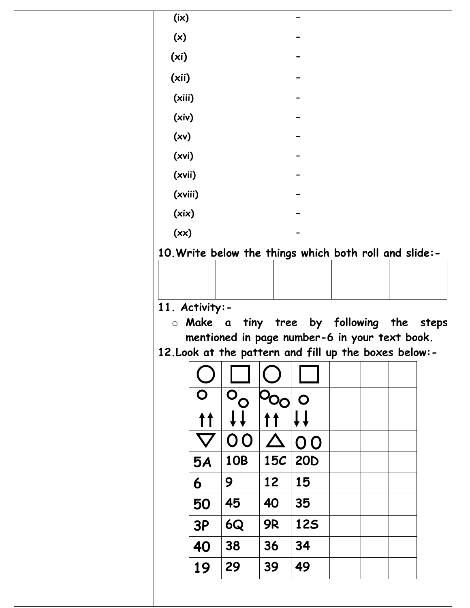|                                                        | (ix)                              |                                                                                                       |                             |                                  |  |  |
|--------------------------------------------------------|-----------------------------------|-------------------------------------------------------------------------------------------------------|-----------------------------|----------------------------------|--|--|
| (x)                                                    |                                   |                                                                                                       |                             |                                  |  |  |
| (x <sub>i</sub> )                                      |                                   |                                                                                                       |                             |                                  |  |  |
| (xii)                                                  |                                   |                                                                                                       |                             |                                  |  |  |
|                                                        | (xiii)                            |                                                                                                       |                             |                                  |  |  |
|                                                        | (xiv)                             |                                                                                                       |                             |                                  |  |  |
|                                                        | (xv)                              |                                                                                                       |                             |                                  |  |  |
|                                                        | (xvi)                             |                                                                                                       |                             |                                  |  |  |
|                                                        | (xvii)                            |                                                                                                       |                             |                                  |  |  |
|                                                        | (xviii)                           |                                                                                                       |                             |                                  |  |  |
|                                                        | (xix)                             |                                                                                                       |                             |                                  |  |  |
|                                                        | (xx)                              |                                                                                                       |                             |                                  |  |  |
| 10. Write below the things which both roll and slide:- | 11. Activity:-<br>o <b>Make a</b> |                                                                                                       |                             | tiny tree by following the steps |  |  |
|                                                        |                                   | mentioned in page number-6 in your text book.<br>12. Look at the pattern and fill up the boxes below: |                             |                                  |  |  |
|                                                        |                                   |                                                                                                       |                             |                                  |  |  |
|                                                        | $\mathbf{O}$                      |                                                                                                       |                             |                                  |  |  |
|                                                        | T T                               | $\overline{O}_{\overline{Q}}$                                                                         | $P_{OQ}$                    | $\bullet$                        |  |  |
|                                                        |                                   |                                                                                                       | ↑↑                          |                                  |  |  |
|                                                        |                                   | 0 <sup>0</sup><br><b>10B</b>                                                                          | $\Delta$<br>15 <sub>C</sub> | 0 <sub>0</sub><br><b>20D</b>     |  |  |
|                                                        | <b>5A</b><br>6                    | 9                                                                                                     | 12                          | 15                               |  |  |
|                                                        | 50                                | 45                                                                                                    | 40                          | 35                               |  |  |
|                                                        | 3P                                | <b>6Q</b>                                                                                             | <b>9R</b>                   | <b>125</b>                       |  |  |
|                                                        | 40                                | 38                                                                                                    | 36                          | 34                               |  |  |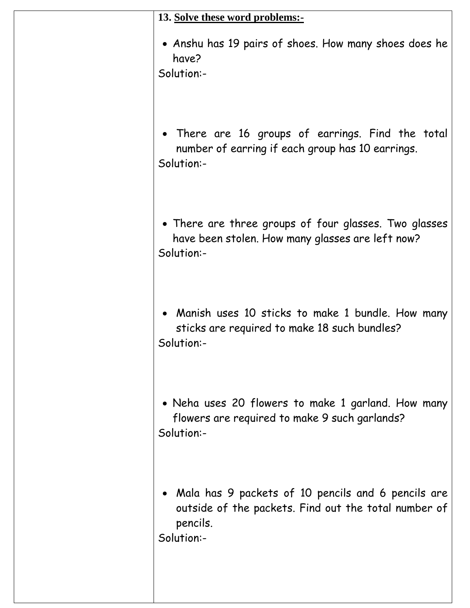| 13. Solve these word problems:-                                                                                                        |
|----------------------------------------------------------------------------------------------------------------------------------------|
| • Anshu has 19 pairs of shoes. How many shoes does he<br>have?<br>Solution:-                                                           |
| • There are 16 groups of earrings. Find the total<br>number of earring if each group has 10 earrings.<br>Solution:-                    |
| • There are three groups of four glasses. Two glasses<br>have been stolen. How many glasses are left now?<br>Solution:-                |
| • Manish uses 10 sticks to make 1 bundle. How many<br>sticks are required to make 18 such bundles?<br>Solution:-                       |
| • Neha uses 20 flowers to make 1 garland. How many<br>flowers are required to make 9 such garlands?<br>Solution:-                      |
| • Mala has 9 packets of 10 pencils and 6 pencils are<br>outside of the packets. Find out the total number of<br>pencils.<br>Solution:- |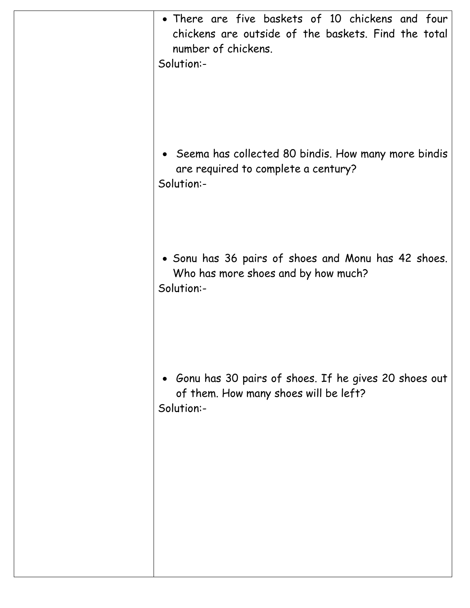| • There are five baskets of 10 chickens and four<br>chickens are outside of the baskets. Find the total<br>number of chickens.<br>Solution:- |
|----------------------------------------------------------------------------------------------------------------------------------------------|
| Seema has collected 80 bindis. How many more bindis<br>$\bullet$<br>are required to complete a century?<br>Solution:-                        |
| • Sonu has 36 pairs of shoes and Monu has 42 shoes.<br>Who has more shoes and by how much?<br>Solution:-                                     |
| • Gonu has 30 pairs of shoes. If he gives 20 shoes out<br>of them. How many shoes will be left?<br>Solution:-                                |
|                                                                                                                                              |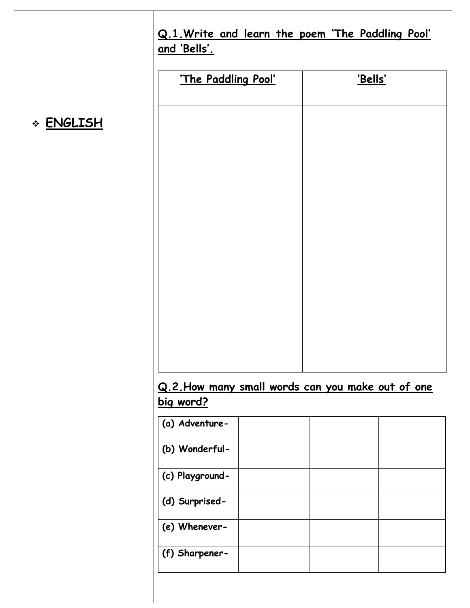|           | Q.1. Write and learn the poem 'The Paddling Pool'<br>and 'Bells'. |         |
|-----------|-------------------------------------------------------------------|---------|
|           | 'The Paddling Pool'                                               | 'Bells' |
| * ENGLISH |                                                                   |         |
|           |                                                                   |         |
|           |                                                                   |         |
|           | Q.2. How many small words can you make out of one                 |         |
|           | big word?<br>(a) Adventure-                                       |         |
|           | (b) Wonderful-                                                    |         |
|           | (c) Playground-                                                   |         |
|           | (d) Surprised-                                                    |         |
|           | (e) Whenever-                                                     |         |
|           | (f) Sharpener-                                                    |         |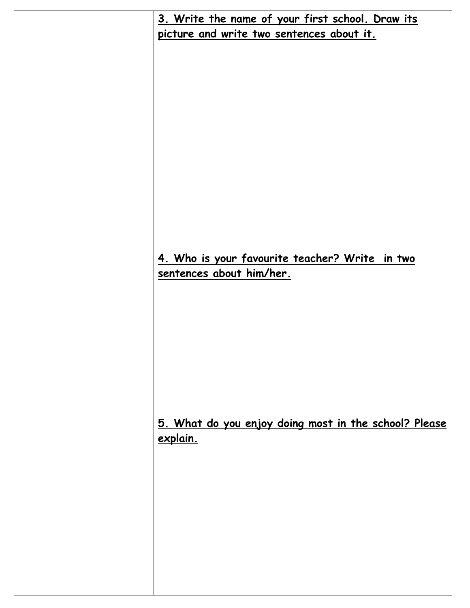| 3. Write the name of your first school. Draw its      |
|-------------------------------------------------------|
|                                                       |
| picture and write two sentences about it.             |
|                                                       |
|                                                       |
|                                                       |
|                                                       |
|                                                       |
|                                                       |
|                                                       |
|                                                       |
|                                                       |
|                                                       |
|                                                       |
|                                                       |
|                                                       |
|                                                       |
|                                                       |
|                                                       |
|                                                       |
| 4. Who is your favourite teacher? Write in two        |
| sentences about him/her.                              |
|                                                       |
|                                                       |
|                                                       |
|                                                       |
|                                                       |
|                                                       |
|                                                       |
|                                                       |
|                                                       |
|                                                       |
|                                                       |
|                                                       |
| 5. What do you enjoy doing most in the school? Please |
| explain.                                              |
|                                                       |
|                                                       |
|                                                       |
|                                                       |
|                                                       |
|                                                       |
|                                                       |
|                                                       |
|                                                       |
|                                                       |
|                                                       |